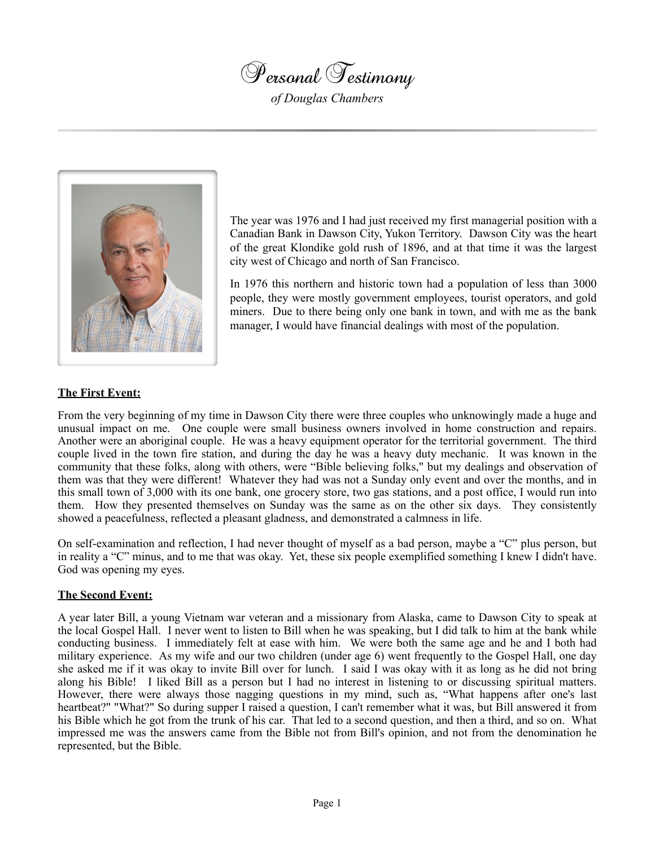

*of Douglas Chambers*



The year was 1976 and I had just received my first managerial position with a Canadian Bank in Dawson City, Yukon Territory. Dawson City was the heart of the great Klondike gold rush of 1896, and at that time it was the largest city west of Chicago and north of San Francisco.

In 1976 this northern and historic town had a population of less than 3000 people, they were mostly government employees, tourist operators, and gold miners. Due to there being only one bank in town, and with me as the bank manager, I would have financial dealings with most of the population.

# **The First Event:**

From the very beginning of my time in Dawson City there were three couples who unknowingly made a huge and unusual impact on me. One couple were small business owners involved in home construction and repairs. Another were an aboriginal couple. He was a heavy equipment operator for the territorial government. The third couple lived in the town fire station, and during the day he was a heavy duty mechanic. It was known in the community that these folks, along with others, were "Bible believing folks," but my dealings and observation of them was that they were different! Whatever they had was not a Sunday only event and over the months, and in this small town of 3,000 with its one bank, one grocery store, two gas stations, and a post office, I would run into them. How they presented themselves on Sunday was the same as on the other six days. They consistently showed a peacefulness, reflected a pleasant gladness, and demonstrated a calmness in life.

On self-examination and reflection, I had never thought of myself as a bad person, maybe a "C" plus person, but in reality a "C" minus, and to me that was okay. Yet, these six people exemplified something I knew I didn't have. God was opening my eyes.

## **The Second Event:**

A year later Bill, a young Vietnam war veteran and a missionary from Alaska, came to Dawson City to speak at the local Gospel Hall. I never went to listen to Bill when he was speaking, but I did talk to him at the bank while conducting business. I immediately felt at ease with him. We were both the same age and he and I both had military experience. As my wife and our two children (under age 6) went frequently to the Gospel Hall, one day she asked me if it was okay to invite Bill over for lunch. I said I was okay with it as long as he did not bring along his Bible! I liked Bill as a person but I had no interest in listening to or discussing spiritual matters. However, there were always those nagging questions in my mind, such as, "What happens after one's last heartbeat?" "What?" So during supper I raised a question, I can't remember what it was, but Bill answered it from his Bible which he got from the trunk of his car. That led to a second question, and then a third, and so on. What impressed me was the answers came from the Bible not from Bill's opinion, and not from the denomination he represented, but the Bible.